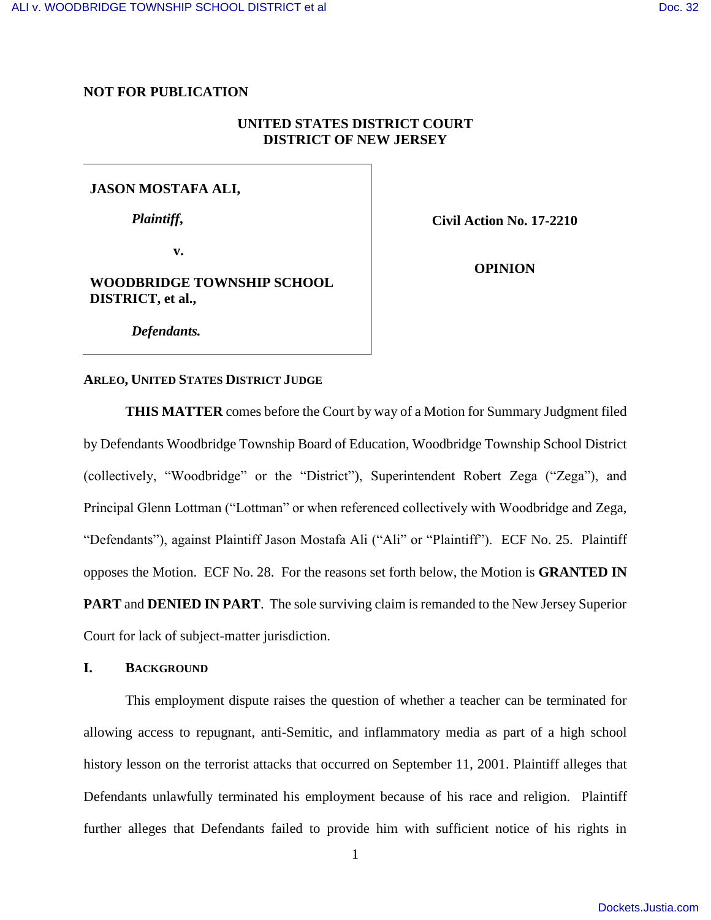# **NOT FOR PUBLICATION**

# **UNITED STATES DISTRICT COURT DISTRICT OF NEW JERSEY**

# **JASON MOSTAFA ALI,**

*Plaintiff***,**

**Civil Action No. 17-2210**

**v.**

# **WOODBRIDGE TOWNSHIP SCHOOL DISTRICT, et al.,**

**OPINION**

*Defendants.*

## **ARLEO, UNITED STATES DISTRICT JUDGE**

**THIS MATTER** comes before the Court by way of a Motion for Summary Judgment filed by Defendants Woodbridge Township Board of Education, Woodbridge Township School District (collectively, "Woodbridge" or the "District"), Superintendent Robert Zega ("Zega"), and Principal Glenn Lottman ("Lottman" or when referenced collectively with Woodbridge and Zega, "Defendants"), against Plaintiff Jason Mostafa Ali ("Ali" or "Plaintiff"). ECF No. 25. Plaintiff opposes the Motion. ECF No. 28. For the reasons set forth below, the Motion is **GRANTED IN PART** and **DENIED IN PART**. The sole surviving claim is remanded to the New Jersey Superior Court for lack of subject-matter jurisdiction.

## **I. BACKGROUND**

This employment dispute raises the question of whether a teacher can be terminated for allowing access to repugnant, anti-Semitic, and inflammatory media as part of a high school history lesson on the terrorist attacks that occurred on September 11, 2001. Plaintiff alleges that Defendants unlawfully terminated his employment because of his race and religion. Plaintiff further alleges that Defendants failed to provide him with sufficient notice of his rights in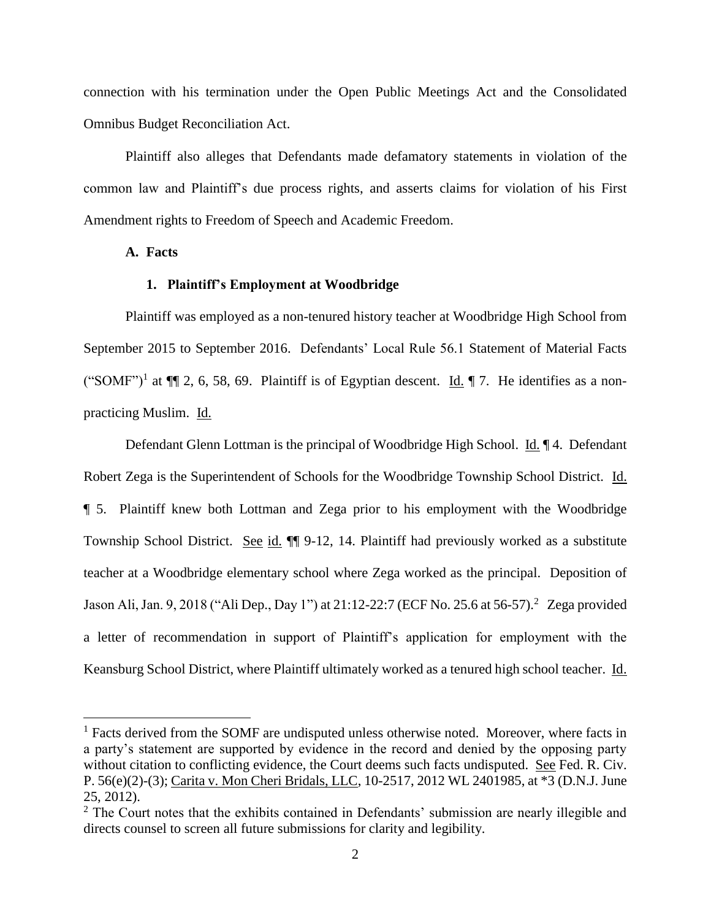connection with his termination under the Open Public Meetings Act and the Consolidated Omnibus Budget Reconciliation Act.

Plaintiff also alleges that Defendants made defamatory statements in violation of the common law and Plaintiff's due process rights, and asserts claims for violation of his First Amendment rights to Freedom of Speech and Academic Freedom.

## **A. Facts**

 $\overline{a}$ 

## **1. Plaintiff's Employment at Woodbridge**

Plaintiff was employed as a non-tenured history teacher at Woodbridge High School from September 2015 to September 2016. Defendants' Local Rule 56.1 Statement of Material Facts ("SOMF")<sup>1</sup> at  $\P$  2, 6, 58, 69. Plaintiff is of Egyptian descent. Id.  $\P$  7. He identifies as a nonpracticing Muslim. Id.

Defendant Glenn Lottman is the principal of Woodbridge High School. Id. 14. Defendant Robert Zega is the Superintendent of Schools for the Woodbridge Township School District. Id. ¶ 5. Plaintiff knew both Lottman and Zega prior to his employment with the Woodbridge Township School District. See id. ¶¶ 9-12, 14. Plaintiff had previously worked as a substitute teacher at a Woodbridge elementary school where Zega worked as the principal. Deposition of Jason Ali, Jan. 9, 2018 ("Ali Dep., Day 1") at 21:12-22:7 (ECF No. 25.6 at 56-57).<sup>2</sup> Zega provided a letter of recommendation in support of Plaintiff's application for employment with the Keansburg School District, where Plaintiff ultimately worked as a tenured high school teacher. Id.

<sup>&</sup>lt;sup>1</sup> Facts derived from the SOMF are undisputed unless otherwise noted. Moreover, where facts in a party's statement are supported by evidence in the record and denied by the opposing party without citation to conflicting evidence, the Court deems such facts undisputed. See Fed. R. Civ. P. 56(e)(2)-(3); Carita v. Mon Cheri Bridals, LLC, 10-2517, 2012 WL 2401985, at \*3 (D.N.J. June 25, 2012).

<sup>&</sup>lt;sup>2</sup> The Court notes that the exhibits contained in Defendants' submission are nearly illegible and directs counsel to screen all future submissions for clarity and legibility.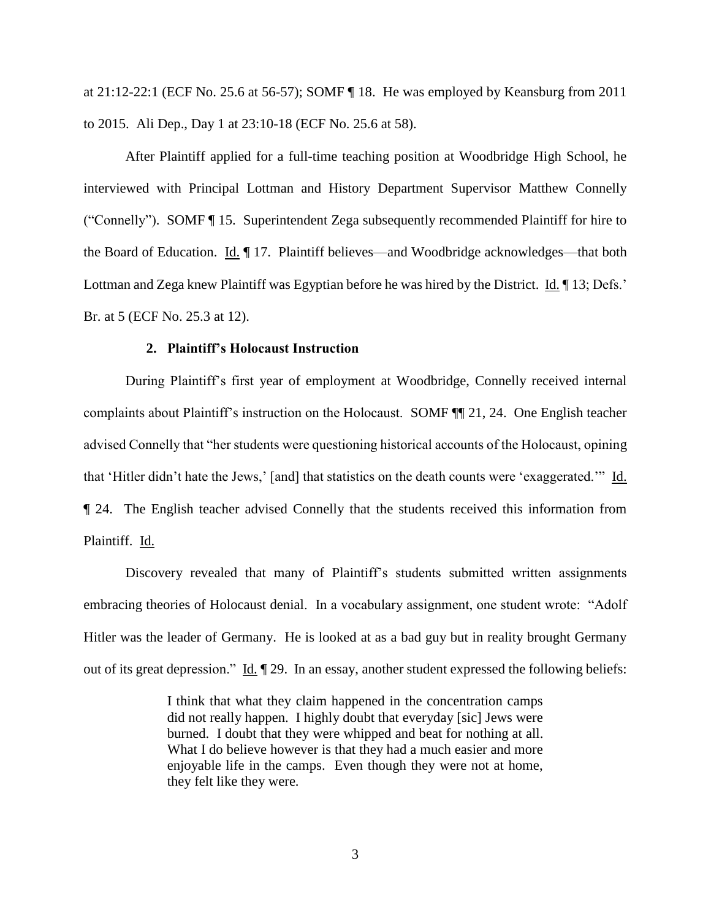at 21:12-22:1 (ECF No. 25.6 at 56-57); SOMF ¶ 18. He was employed by Keansburg from 2011 to 2015. Ali Dep., Day 1 at 23:10-18 (ECF No. 25.6 at 58).

After Plaintiff applied for a full-time teaching position at Woodbridge High School, he interviewed with Principal Lottman and History Department Supervisor Matthew Connelly ("Connelly"). SOMF ¶ 15. Superintendent Zega subsequently recommended Plaintiff for hire to the Board of Education. Id. 17. Plaintiff believes—and Woodbridge acknowledges—that both Lottman and Zega knew Plaintiff was Egyptian before he was hired by the District. Id. ¶ 13; Defs.' Br. at 5 (ECF No. 25.3 at 12).

## **2. Plaintiff's Holocaust Instruction**

During Plaintiff's first year of employment at Woodbridge, Connelly received internal complaints about Plaintiff's instruction on the Holocaust. SOMF ¶¶ 21, 24. One English teacher advised Connelly that "her students were questioning historical accounts of the Holocaust, opining that 'Hitler didn't hate the Jews,' [and] that statistics on the death counts were 'exaggerated.'" Id. ¶ 24. The English teacher advised Connelly that the students received this information from Plaintiff. Id.

Discovery revealed that many of Plaintiff's students submitted written assignments embracing theories of Holocaust denial. In a vocabulary assignment, one student wrote: "Adolf Hitler was the leader of Germany. He is looked at as a bad guy but in reality brought Germany out of its great depression." Id. ¶ 29. In an essay, another student expressed the following beliefs:

> I think that what they claim happened in the concentration camps did not really happen. I highly doubt that everyday [sic] Jews were burned. I doubt that they were whipped and beat for nothing at all. What I do believe however is that they had a much easier and more enjoyable life in the camps. Even though they were not at home, they felt like they were.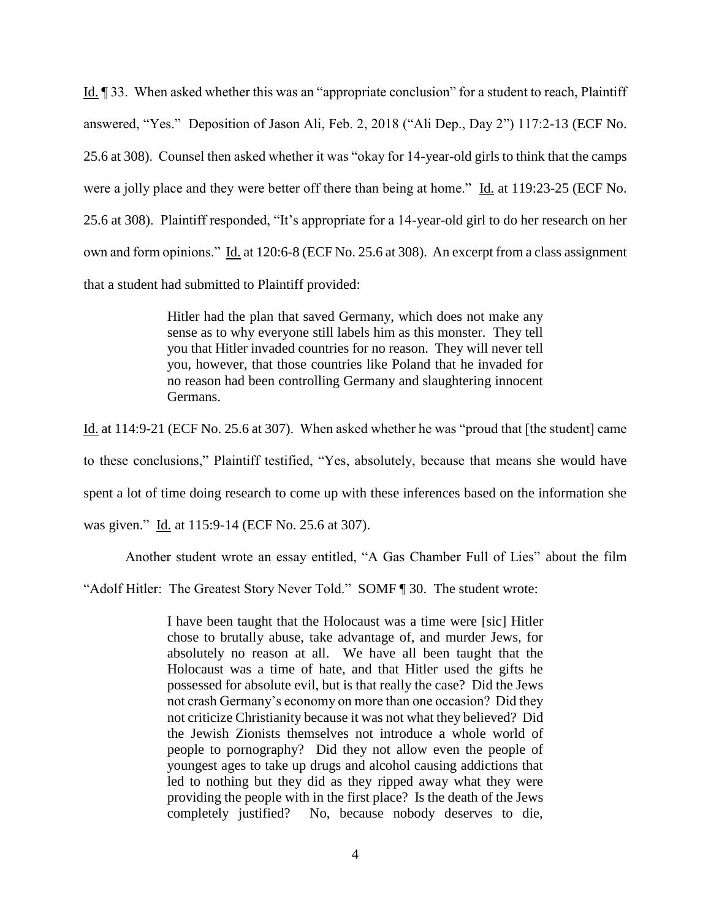Id. ¶ 33. When asked whether this was an "appropriate conclusion" for a student to reach, Plaintiff answered, "Yes." Deposition of Jason Ali, Feb. 2, 2018 ("Ali Dep., Day 2") 117:2-13 (ECF No. 25.6 at 308). Counsel then asked whether it was "okay for 14-year-old girls to think that the camps were a jolly place and they were better off there than being at home." Id. at 119:23-25 (ECF No. 25.6 at 308). Plaintiff responded, "It's appropriate for a 14-year-old girl to do her research on her own and form opinions." Id. at 120:6-8 (ECF No. 25.6 at 308). An excerpt from a class assignment that a student had submitted to Plaintiff provided:

> Hitler had the plan that saved Germany, which does not make any sense as to why everyone still labels him as this monster. They tell you that Hitler invaded countries for no reason. They will never tell you, however, that those countries like Poland that he invaded for no reason had been controlling Germany and slaughtering innocent Germans.

Id. at 114:9-21 (ECF No. 25.6 at 307). When asked whether he was "proud that [the student] came to these conclusions," Plaintiff testified, "Yes, absolutely, because that means she would have spent a lot of time doing research to come up with these inferences based on the information she

was given." Id. at 115:9-14 (ECF No. 25.6 at 307).

Another student wrote an essay entitled, "A Gas Chamber Full of Lies" about the film

"Adolf Hitler: The Greatest Story Never Told." SOMF [ 30. The student wrote:

I have been taught that the Holocaust was a time were [sic] Hitler chose to brutally abuse, take advantage of, and murder Jews, for absolutely no reason at all. We have all been taught that the Holocaust was a time of hate, and that Hitler used the gifts he possessed for absolute evil, but is that really the case? Did the Jews not crash Germany's economy on more than one occasion? Did they not criticize Christianity because it was not what they believed? Did the Jewish Zionists themselves not introduce a whole world of people to pornography? Did they not allow even the people of youngest ages to take up drugs and alcohol causing addictions that led to nothing but they did as they ripped away what they were providing the people with in the first place? Is the death of the Jews completely justified? No, because nobody deserves to die,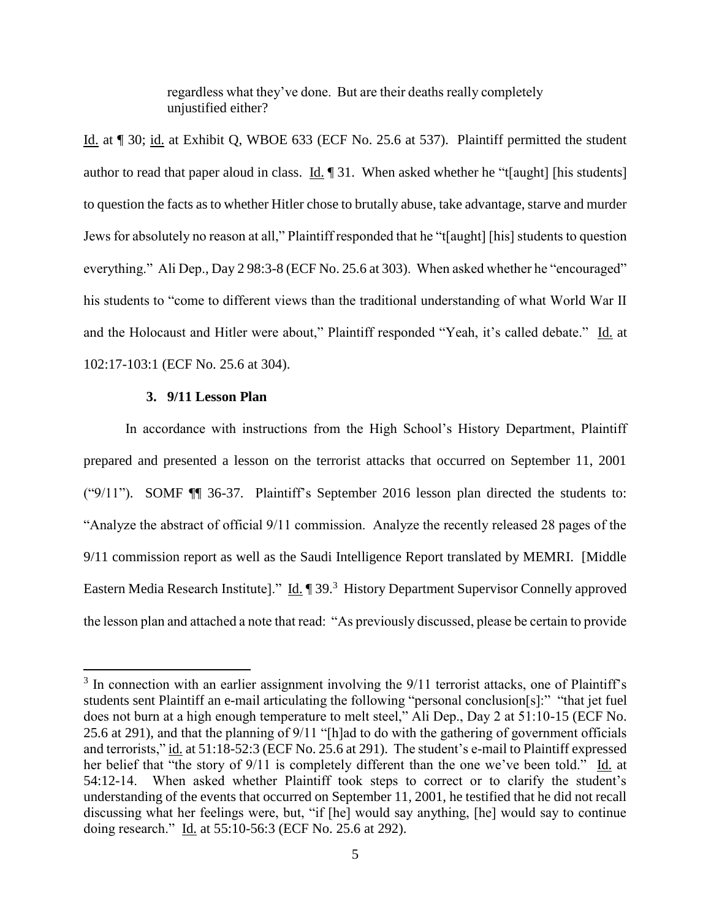regardless what they've done. But are their deaths really completely unjustified either?

Id. at ¶ 30; id. at Exhibit Q, WBOE 633 (ECF No. 25.6 at 537). Plaintiff permitted the student author to read that paper aloud in class. Id.  $\parallel$  31. When asked whether he "t[aught] [his students] to question the facts as to whether Hitler chose to brutally abuse, take advantage, starve and murder Jews for absolutely no reason at all," Plaintiff responded that he "t[aught] [his] students to question everything." Ali Dep., Day 298:3-8 (ECF No. 25.6 at 303). When asked whether he "encouraged" his students to "come to different views than the traditional understanding of what World War II and the Holocaust and Hitler were about," Plaintiff responded "Yeah, it's called debate." Id. at 102:17-103:1 (ECF No. 25.6 at 304).

# **3. 9/11 Lesson Plan**

 $\overline{a}$ 

In accordance with instructions from the High School's History Department, Plaintiff prepared and presented a lesson on the terrorist attacks that occurred on September 11, 2001 ("9/11"). SOMF ¶¶ 36-37. Plaintiff's September 2016 lesson plan directed the students to: "Analyze the abstract of official 9/11 commission. Analyze the recently released 28 pages of the 9/11 commission report as well as the Saudi Intelligence Report translated by MEMRI. [Middle Eastern Media Research Institute]." Id. ¶ 39.<sup>3</sup> History Department Supervisor Connelly approved the lesson plan and attached a note that read: "As previously discussed, please be certain to provide

<sup>&</sup>lt;sup>3</sup> In connection with an earlier assignment involving the 9/11 terrorist attacks, one of Plaintiff's students sent Plaintiff an e-mail articulating the following "personal conclusion[s]:" "that jet fuel does not burn at a high enough temperature to melt steel," Ali Dep., Day 2 at 51:10-15 (ECF No. 25.6 at 291), and that the planning of 9/11 "[h]ad to do with the gathering of government officials and terrorists," id. at 51:18-52:3 (ECF No. 25.6 at 291). The student's e-mail to Plaintiff expressed her belief that "the story of 9/11 is completely different than the one we've been told." Id. at 54:12-14. When asked whether Plaintiff took steps to correct or to clarify the student's understanding of the events that occurred on September 11, 2001, he testified that he did not recall discussing what her feelings were, but, "if [he] would say anything, [he] would say to continue doing research." Id. at 55:10-56:3 (ECF No. 25.6 at 292).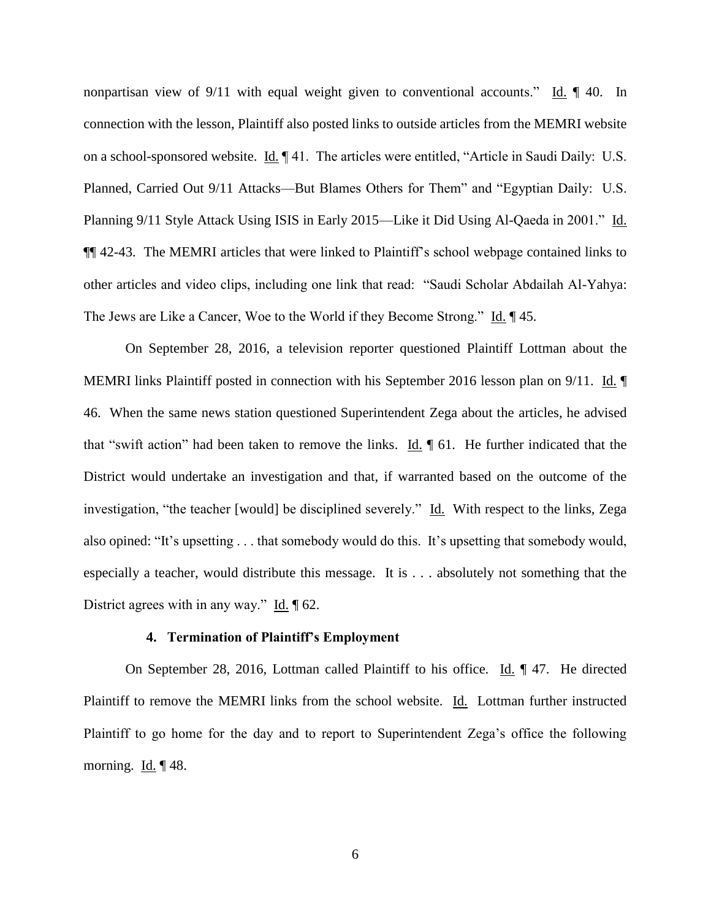nonpartisan view of 9/11 with equal weight given to conventional accounts." Id.  $\parallel$  40. In connection with the lesson, Plaintiff also posted links to outside articles from the MEMRI website on a school-sponsored website. Id. ¶ 41. The articles were entitled, "Article in Saudi Daily: U.S. Planned, Carried Out 9/11 Attacks—But Blames Others for Them" and "Egyptian Daily: U.S. Planning 9/11 Style Attack Using ISIS in Early 2015—Like it Did Using Al-Qaeda in 2001." Id. ¶¶ 42-43. The MEMRI articles that were linked to Plaintiff's school webpage contained links to other articles and video clips, including one link that read: "Saudi Scholar Abdailah Al-Yahya: The Jews are Like a Cancer, Woe to the World if they Become Strong." Id. ¶ 45.

On September 28, 2016, a television reporter questioned Plaintiff Lottman about the MEMRI links Plaintiff posted in connection with his September 2016 lesson plan on 9/11. Id. ¶ 46. When the same news station questioned Superintendent Zega about the articles, he advised that "swift action" had been taken to remove the links.  $\underline{Id}$ .  $\P$  61. He further indicated that the District would undertake an investigation and that, if warranted based on the outcome of the investigation, "the teacher [would] be disciplined severely." Id. With respect to the links, Zega also opined: "It's upsetting . . . that somebody would do this. It's upsetting that somebody would, especially a teacher, would distribute this message. It is . . . absolutely not something that the District agrees with in any way." Id. ¶ 62.

## **4. Termination of Plaintiff's Employment**

On September 28, 2016, Lottman called Plaintiff to his office. Id. ¶ 47. He directed Plaintiff to remove the MEMRI links from the school website. Id. Lottman further instructed Plaintiff to go home for the day and to report to Superintendent Zega's office the following morning.  $\underline{Id.} \P 48$ .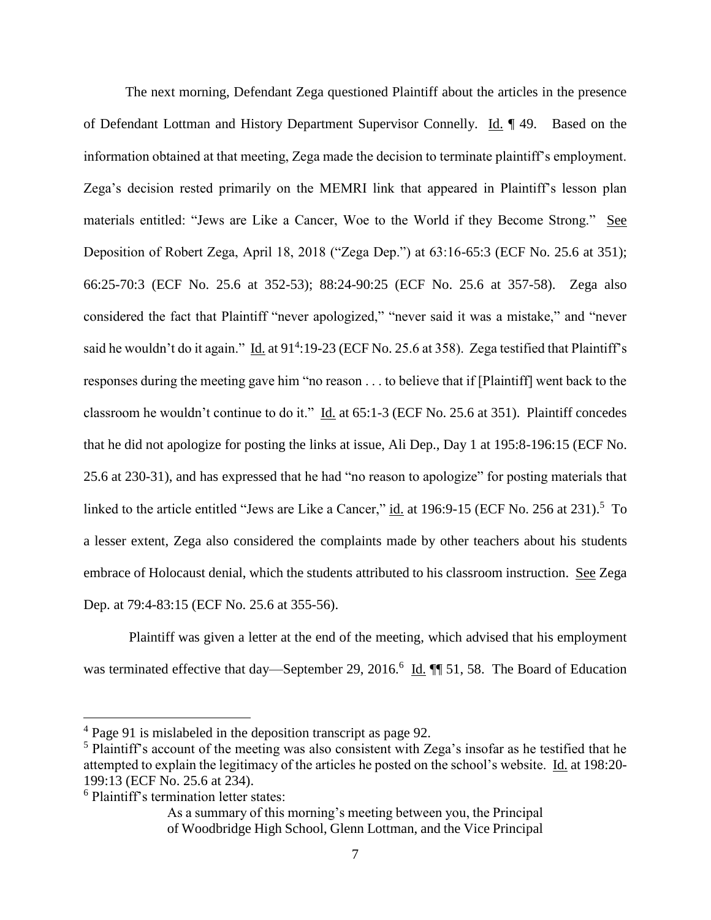The next morning, Defendant Zega questioned Plaintiff about the articles in the presence of Defendant Lottman and History Department Supervisor Connelly. Id. ¶ 49. Based on the information obtained at that meeting, Zega made the decision to terminate plaintiff's employment. Zega's decision rested primarily on the MEMRI link that appeared in Plaintiff's lesson plan materials entitled: "Jews are Like a Cancer, Woe to the World if they Become Strong." See Deposition of Robert Zega, April 18, 2018 ("Zega Dep.") at 63:16-65:3 (ECF No. 25.6 at 351); 66:25-70:3 (ECF No. 25.6 at 352-53); 88:24-90:25 (ECF No. 25.6 at 357-58). Zega also considered the fact that Plaintiff "never apologized," "never said it was a mistake," and "never said he wouldn't do it again." Id. at 91<sup>4</sup>:19-23 (ECF No. 25.6 at 358). Zega testified that Plaintiff's responses during the meeting gave him "no reason . . . to believe that if [Plaintiff] went back to the classroom he wouldn't continue to do it." Id. at 65:1-3 (ECF No. 25.6 at 351). Plaintiff concedes that he did not apologize for posting the links at issue, Ali Dep., Day 1 at 195:8-196:15 (ECF No. 25.6 at 230-31), and has expressed that he had "no reason to apologize" for posting materials that linked to the article entitled "Jews are Like a Cancer," id. at 196:9-15 (ECF No. 256 at 231).<sup>5</sup> To a lesser extent, Zega also considered the complaints made by other teachers about his students embrace of Holocaust denial, which the students attributed to his classroom instruction. See Zega Dep. at 79:4-83:15 (ECF No. 25.6 at 355-56).

Plaintiff was given a letter at the end of the meeting, which advised that his employment was terminated effective that day—September 29, 2016.<sup>6</sup> Id. ¶ 51, 58. The Board of Education

 $\overline{a}$ 

As a summary of this morning's meeting between you, the Principal of Woodbridge High School, Glenn Lottman, and the Vice Principal

<sup>4</sup> Page 91 is mislabeled in the deposition transcript as page 92.

<sup>&</sup>lt;sup>5</sup> Plaintiff's account of the meeting was also consistent with Zega's insofar as he testified that he attempted to explain the legitimacy of the articles he posted on the school's website. Id. at 198:20- 199:13 (ECF No. 25.6 at 234).

<sup>&</sup>lt;sup>6</sup> Plaintiff's termination letter states: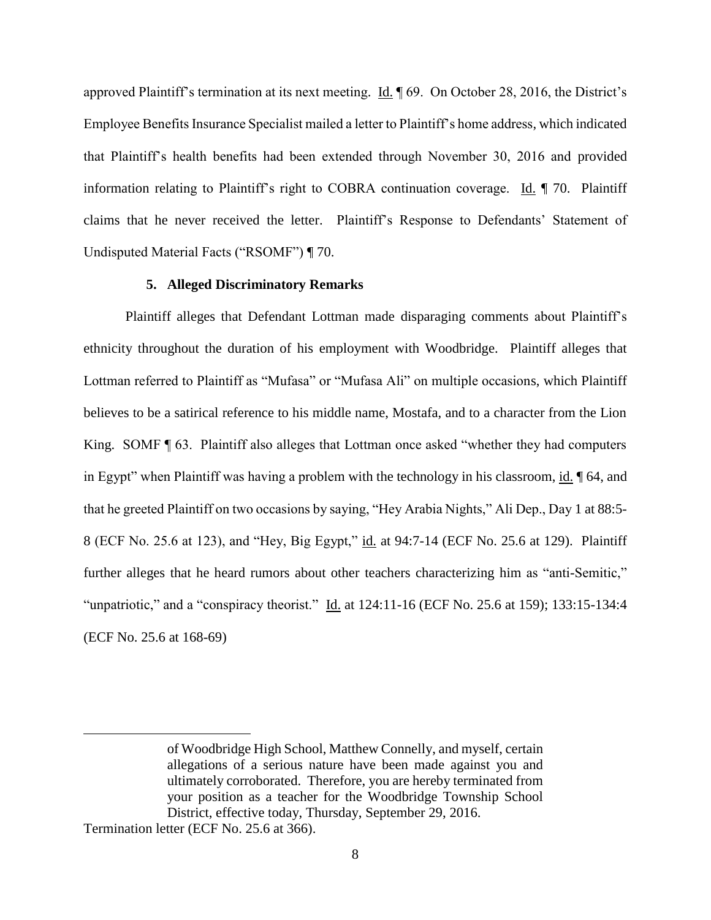approved Plaintiff's termination at its next meeting. Id. ¶ 69. On October 28, 2016, the District's Employee Benefits Insurance Specialist mailed a letter to Plaintiff's home address, which indicated that Plaintiff's health benefits had been extended through November 30, 2016 and provided information relating to Plaintiff's right to COBRA continuation coverage. Id. ¶ 70. Plaintiff claims that he never received the letter. Plaintiff's Response to Defendants' Statement of Undisputed Material Facts ("RSOMF") ¶ 70.

## **5. Alleged Discriminatory Remarks**

Plaintiff alleges that Defendant Lottman made disparaging comments about Plaintiff's ethnicity throughout the duration of his employment with Woodbridge. Plaintiff alleges that Lottman referred to Plaintiff as "Mufasa" or "Mufasa Ali" on multiple occasions, which Plaintiff believes to be a satirical reference to his middle name, Mostafa, and to a character from the Lion King. SOMF ¶ 63. Plaintiff also alleges that Lottman once asked "whether they had computers in Egypt" when Plaintiff was having a problem with the technology in his classroom, id. 164, and that he greeted Plaintiff on two occasions by saying, "Hey Arabia Nights," Ali Dep., Day 1 at 88:5- 8 (ECF No. 25.6 at 123), and "Hey, Big Egypt," id. at 94:7-14 (ECF No. 25.6 at 129). Plaintiff further alleges that he heard rumors about other teachers characterizing him as "anti-Semitic," "unpatriotic," and a "conspiracy theorist." Id. at 124:11-16 (ECF No. 25.6 at 159); 133:15-134:4 (ECF No. 25.6 at 168-69)

 $\overline{a}$ 

of Woodbridge High School, Matthew Connelly, and myself, certain allegations of a serious nature have been made against you and ultimately corroborated. Therefore, you are hereby terminated from your position as a teacher for the Woodbridge Township School District, effective today, Thursday, September 29, 2016.

Termination letter (ECF No. 25.6 at 366).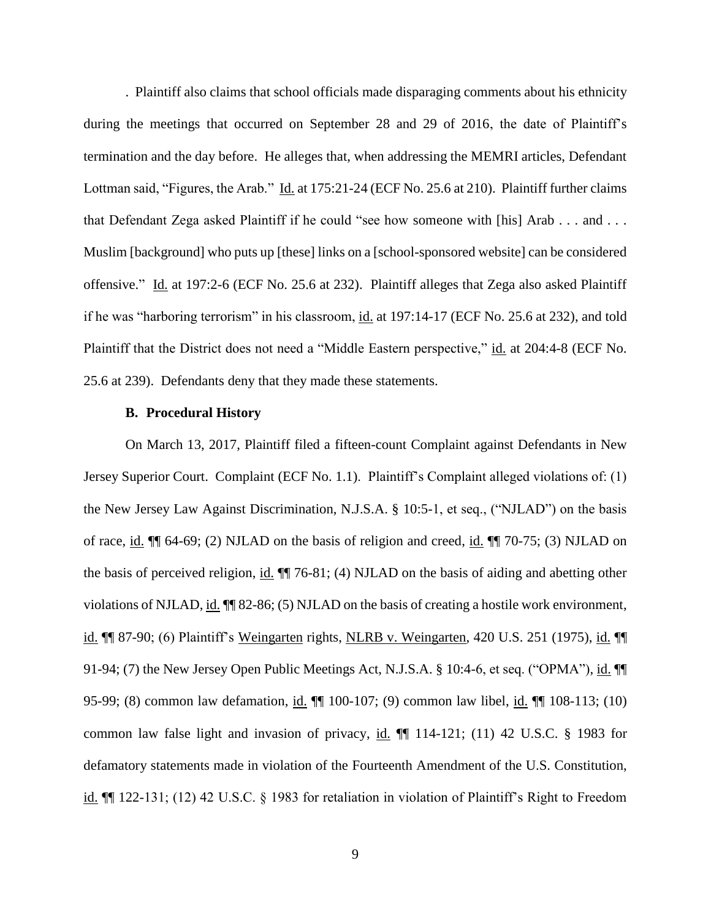. Plaintiff also claims that school officials made disparaging comments about his ethnicity during the meetings that occurred on September 28 and 29 of 2016, the date of Plaintiff's termination and the day before. He alleges that, when addressing the MEMRI articles, Defendant Lottman said, "Figures, the Arab." Id. at 175:21-24 (ECF No. 25.6 at 210). Plaintiff further claims that Defendant Zega asked Plaintiff if he could "see how someone with [his] Arab . . . and . . . Muslim [background] who puts up [these] links on a [school-sponsored website] can be considered offensive." Id. at 197:2-6 (ECF No. 25.6 at 232). Plaintiff alleges that Zega also asked Plaintiff if he was "harboring terrorism" in his classroom, id. at 197:14-17 (ECF No. 25.6 at 232), and told Plaintiff that the District does not need a "Middle Eastern perspective," id. at 204:4-8 (ECF No. 25.6 at 239). Defendants deny that they made these statements.

## **B. Procedural History**

On March 13, 2017, Plaintiff filed a fifteen-count Complaint against Defendants in New Jersey Superior Court. Complaint (ECF No. 1.1). Plaintiff's Complaint alleged violations of: (1) the New Jersey Law Against Discrimination, N.J.S.A. § 10:5-1, et seq., ("NJLAD") on the basis of race, id. ¶¶ 64-69; (2) NJLAD on the basis of religion and creed, id. ¶¶ 70-75; (3) NJLAD on the basis of perceived religion, id. ¶¶ 76-81; (4) NJLAD on the basis of aiding and abetting other violations of NJLAD, id. ¶¶ 82-86; (5) NJLAD on the basis of creating a hostile work environment, id. ¶¶ 87-90; (6) Plaintiff's Weingarten rights, NLRB v. Weingarten, 420 U.S. 251 (1975), id. ¶¶ 91-94; (7) the New Jersey Open Public Meetings Act, N.J.S.A. § 10:4-6, et seq. ("OPMA"), id. ¶¶ 95-99; (8) common law defamation, id.  $\P$  100-107; (9) common law libel, id.  $\P$  108-113; (10) common law false light and invasion of privacy, id.  $\P$  114-121; (11) 42 U.S.C. § 1983 for defamatory statements made in violation of the Fourteenth Amendment of the U.S. Constitution, id. ¶¶ 122-131; (12) 42 U.S.C. § 1983 for retaliation in violation of Plaintiff's Right to Freedom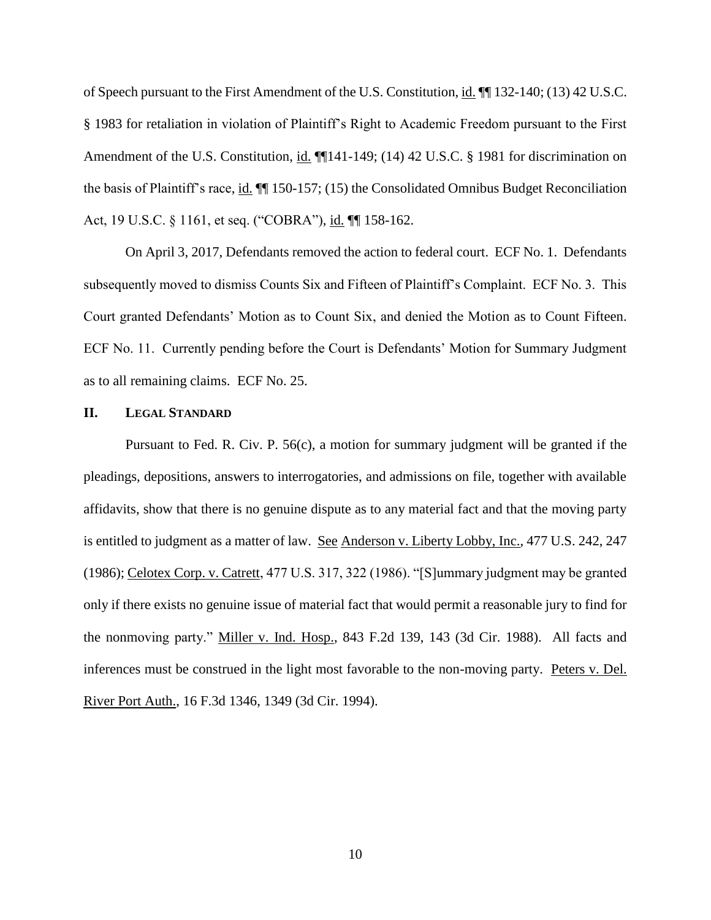of Speech pursuant to the First Amendment of the U.S. Constitution, id. ¶¶ 132-140; (13) 42 U.S.C. § 1983 for retaliation in violation of Plaintiff's Right to Academic Freedom pursuant to the First Amendment of the U.S. Constitution, id.  $\P$ [141-149; (14) 42 U.S.C. § 1981 for discrimination on the basis of Plaintiff's race, id. ¶¶ 150-157; (15) the Consolidated Omnibus Budget Reconciliation Act, 19 U.S.C. § 1161, et seq. ("COBRA"), id. ¶¶ 158-162.

On April 3, 2017, Defendants removed the action to federal court. ECF No. 1. Defendants subsequently moved to dismiss Counts Six and Fifteen of Plaintiff's Complaint. ECF No. 3. This Court granted Defendants' Motion as to Count Six, and denied the Motion as to Count Fifteen. ECF No. 11. Currently pending before the Court is Defendants' Motion for Summary Judgment as to all remaining claims. ECF No. 25.

## **II. LEGAL STANDARD**

Pursuant to Fed. R. Civ. P. 56(c), a motion for summary judgment will be granted if the pleadings, depositions, answers to interrogatories, and admissions on file, together with available affidavits, show that there is no genuine dispute as to any material fact and that the moving party is entitled to judgment as a matter of law. See Anderson v. Liberty Lobby, Inc., 477 U.S. 242, 247 (1986); Celotex Corp. v. Catrett, 477 U.S. 317, 322 (1986). "[S]ummary judgment may be granted only if there exists no genuine issue of material fact that would permit a reasonable jury to find for the nonmoving party." Miller v. Ind. Hosp., 843 F.2d 139, 143 (3d Cir. 1988). All facts and inferences must be construed in the light most favorable to the non-moving party. Peters v. Del. River Port Auth., 16 F.3d 1346, 1349 (3d Cir. 1994).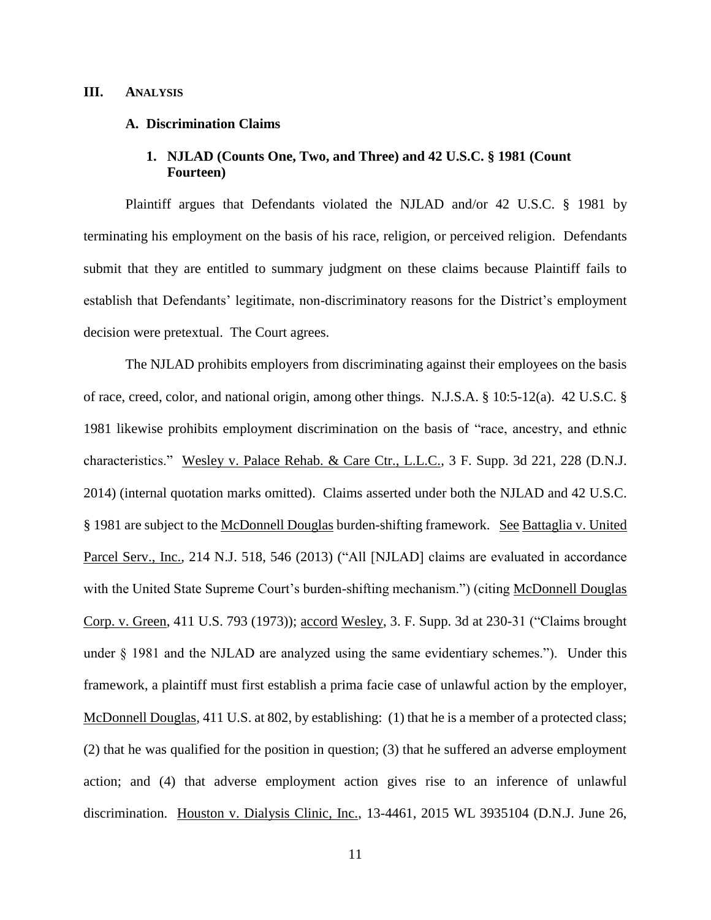#### **III. ANALYSIS**

#### **A. Discrimination Claims**

# **1. NJLAD (Counts One, Two, and Three) and 42 U.S.C. § 1981 (Count Fourteen)**

Plaintiff argues that Defendants violated the NJLAD and/or 42 U.S.C. § 1981 by terminating his employment on the basis of his race, religion, or perceived religion. Defendants submit that they are entitled to summary judgment on these claims because Plaintiff fails to establish that Defendants' legitimate, non-discriminatory reasons for the District's employment decision were pretextual. The Court agrees.

The NJLAD prohibits employers from discriminating against their employees on the basis of race, creed, color, and national origin, among other things. N.J.S.A. § 10:5-12(a). 42 U.S.C. § 1981 likewise prohibits employment discrimination on the basis of "race, ancestry, and ethnic characteristics." Wesley v. Palace Rehab. & Care Ctr., L.L.C., 3 F. Supp. 3d 221, 228 (D.N.J. 2014) (internal quotation marks omitted). Claims asserted under both the NJLAD and 42 U.S.C. § 1981 are subject to the McDonnell Douglas burden-shifting framework. See Battaglia v. United Parcel Serv., Inc., 214 N.J. 518, 546 (2013) ("All [NJLAD] claims are evaluated in accordance with the United State Supreme Court's burden-shifting mechanism.") (citing McDonnell Douglas Corp. v. Green, 411 U.S. 793 (1973)); accord Wesley, 3. F. Supp. 3d at 230-31 ("Claims brought under § 1981 and the NJLAD are analyzed using the same evidentiary schemes."). Under this framework, a plaintiff must first establish a prima facie case of unlawful action by the employer, McDonnell Douglas*,* 411 U.S. at 802, by establishing: (1) that he is a member of a protected class; (2) that he was qualified for the position in question; (3) that he suffered an adverse employment action; and (4) that adverse employment action gives rise to an inference of unlawful discrimination. Houston v. Dialysis Clinic, Inc., 13-4461, 2015 WL 3935104 (D.N.J. June 26,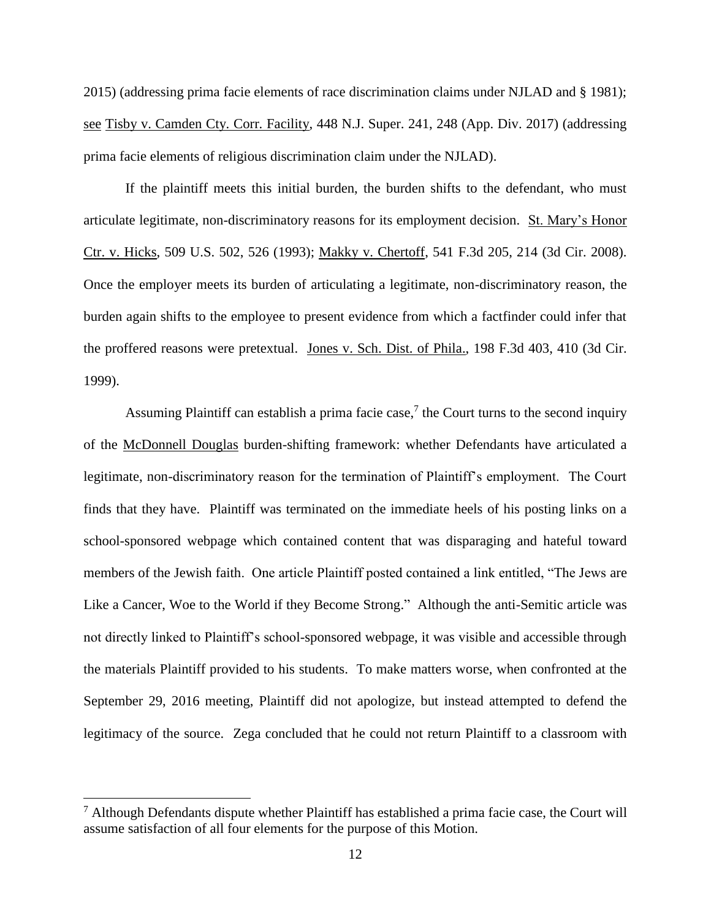2015) (addressing prima facie elements of race discrimination claims under NJLAD and § 1981); see Tisby v. Camden Cty. Corr. Facility, 448 N.J. Super. 241, 248 (App. Div. 2017) (addressing prima facie elements of religious discrimination claim under the NJLAD).

If the plaintiff meets this initial burden, the burden shifts to the defendant, who must articulate legitimate, non-discriminatory reasons for its employment decision. St. Mary's Honor Ctr. v. Hicks, 509 U.S. 502, 526 (1993); Makky v. Chertoff, 541 F.3d 205, 214 (3d Cir. 2008). Once the employer meets its burden of articulating a legitimate, non-discriminatory reason, the burden again shifts to the employee to present evidence from which a factfinder could infer that the proffered reasons were pretextual. Jones v. Sch. Dist. of Phila., 198 F.3d 403, 410 (3d Cir. 1999).

Assuming Plaintiff can establish a prima facie case,<sup>7</sup> the Court turns to the second inquiry of the McDonnell Douglas burden-shifting framework: whether Defendants have articulated a legitimate, non-discriminatory reason for the termination of Plaintiff's employment. The Court finds that they have. Plaintiff was terminated on the immediate heels of his posting links on a school-sponsored webpage which contained content that was disparaging and hateful toward members of the Jewish faith. One article Plaintiff posted contained a link entitled, "The Jews are Like a Cancer, Woe to the World if they Become Strong." Although the anti-Semitic article was not directly linked to Plaintiff's school-sponsored webpage, it was visible and accessible through the materials Plaintiff provided to his students. To make matters worse, when confronted at the September 29, 2016 meeting, Plaintiff did not apologize, but instead attempted to defend the legitimacy of the source. Zega concluded that he could not return Plaintiff to a classroom with

 $\overline{a}$ 

 $<sup>7</sup>$  Although Defendants dispute whether Plaintiff has established a prima facie case, the Court will</sup> assume satisfaction of all four elements for the purpose of this Motion.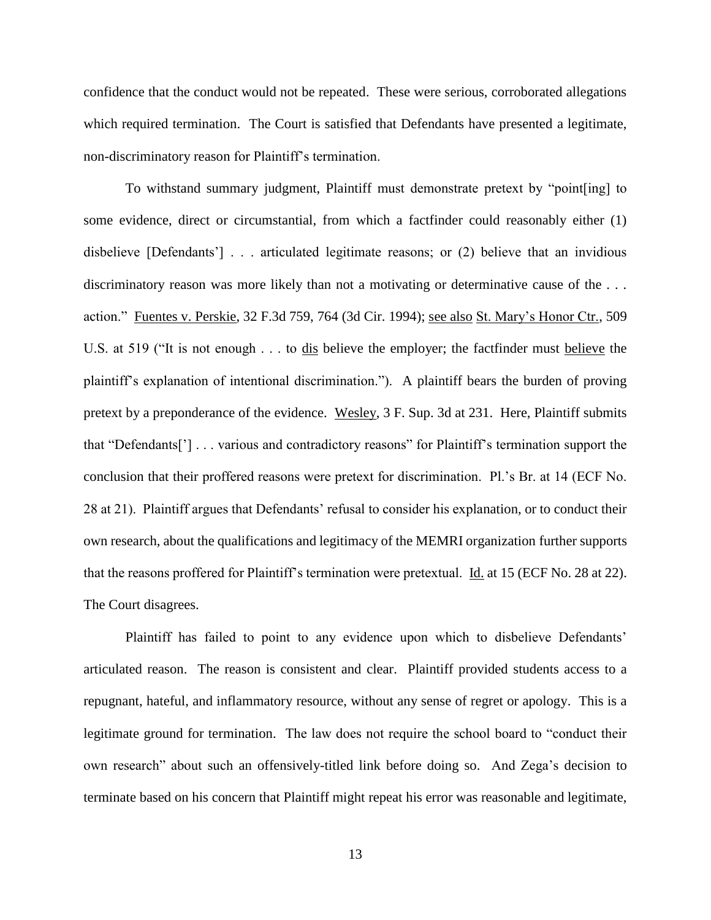confidence that the conduct would not be repeated. These were serious, corroborated allegations which required termination. The Court is satisfied that Defendants have presented a legitimate, non-discriminatory reason for Plaintiff's termination.

To withstand summary judgment, Plaintiff must demonstrate pretext by "point[ing] to some evidence, direct or circumstantial, from which a factfinder could reasonably either (1) disbelieve [Defendants'] . . . articulated legitimate reasons; or (2) believe that an invidious discriminatory reason was more likely than not a motivating or determinative cause of the ... action." Fuentes v. Perskie, 32 F.3d 759, 764 (3d Cir. 1994); see also St. Mary's Honor Ctr., 509 U.S. at 519 ("It is not enough . . . to dis believe the employer; the factfinder must believe the plaintiff's explanation of intentional discrimination."). A plaintiff bears the burden of proving pretext by a preponderance of the evidence. Wesley, 3 F. Sup. 3d at 231. Here, Plaintiff submits that "Defendants['] . . . various and contradictory reasons" for Plaintiff's termination support the conclusion that their proffered reasons were pretext for discrimination. Pl.'s Br. at 14 (ECF No. 28 at 21). Plaintiff argues that Defendants' refusal to consider his explanation, or to conduct their own research, about the qualifications and legitimacy of the MEMRI organization further supports that the reasons proffered for Plaintiff's termination were pretextual. Id. at 15 (ECF No. 28 at 22). The Court disagrees.

Plaintiff has failed to point to any evidence upon which to disbelieve Defendants' articulated reason. The reason is consistent and clear. Plaintiff provided students access to a repugnant, hateful, and inflammatory resource, without any sense of regret or apology. This is a legitimate ground for termination. The law does not require the school board to "conduct their own research" about such an offensively-titled link before doing so. And Zega's decision to terminate based on his concern that Plaintiff might repeat his error was reasonable and legitimate,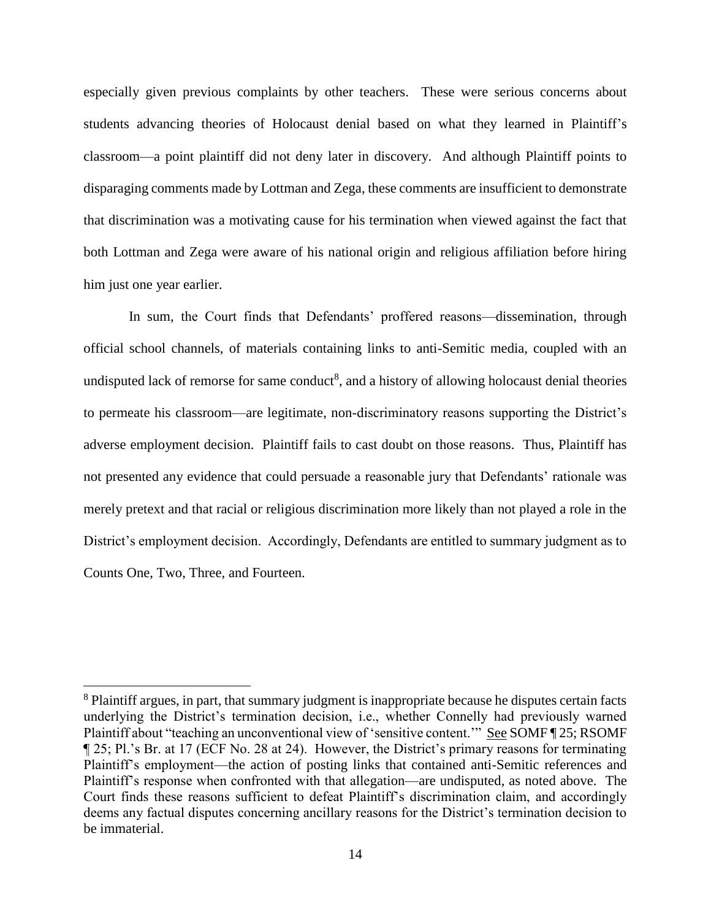especially given previous complaints by other teachers. These were serious concerns about students advancing theories of Holocaust denial based on what they learned in Plaintiff's classroom—a point plaintiff did not deny later in discovery. And although Plaintiff points to disparaging comments made by Lottman and Zega, these comments are insufficient to demonstrate that discrimination was a motivating cause for his termination when viewed against the fact that both Lottman and Zega were aware of his national origin and religious affiliation before hiring him just one year earlier.

In sum, the Court finds that Defendants' proffered reasons—dissemination, through official school channels, of materials containing links to anti-Semitic media, coupled with an undisputed lack of remorse for same conduct<sup>8</sup>, and a history of allowing holocaust denial theories to permeate his classroom—are legitimate, non-discriminatory reasons supporting the District's adverse employment decision. Plaintiff fails to cast doubt on those reasons. Thus, Plaintiff has not presented any evidence that could persuade a reasonable jury that Defendants' rationale was merely pretext and that racial or religious discrimination more likely than not played a role in the District's employment decision. Accordingly, Defendants are entitled to summary judgment as to Counts One, Two, Three, and Fourteen.

 $\overline{a}$ 

<sup>&</sup>lt;sup>8</sup> Plaintiff argues, in part, that summary judgment is inappropriate because he disputes certain facts underlying the District's termination decision, i.e., whether Connelly had previously warned Plaintiff about "teaching an unconventional view of 'sensitive content.'" See SOMF ¶ 25; RSOMF ¶ 25; Pl.'s Br. at 17 (ECF No. 28 at 24). However, the District's primary reasons for terminating Plaintiff's employment—the action of posting links that contained anti-Semitic references and Plaintiff's response when confronted with that allegation—are undisputed, as noted above. The Court finds these reasons sufficient to defeat Plaintiff's discrimination claim, and accordingly deems any factual disputes concerning ancillary reasons for the District's termination decision to be immaterial.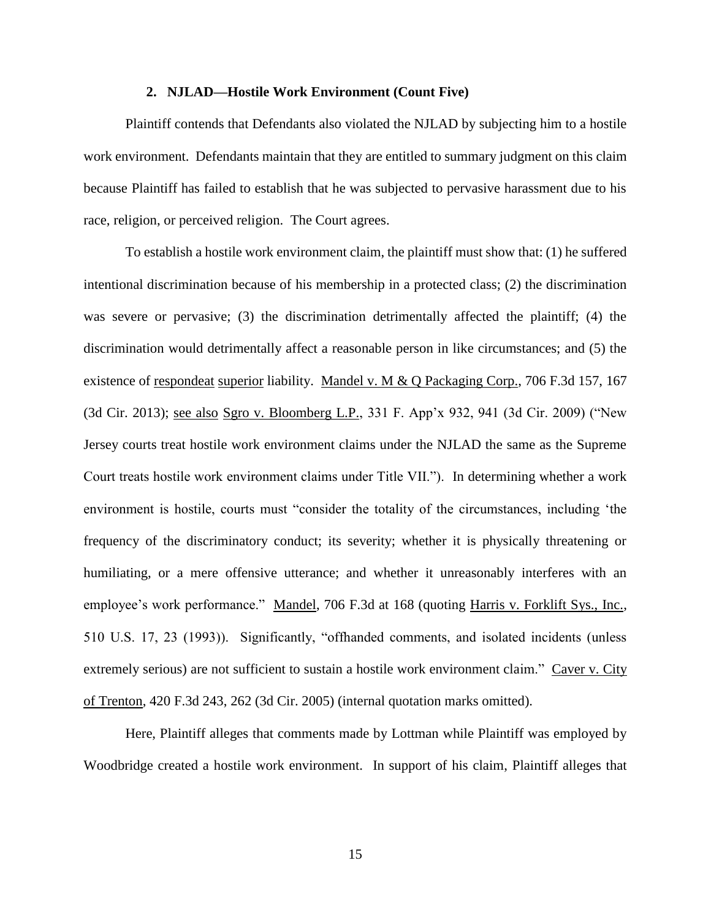#### **2. NJLAD—Hostile Work Environment (Count Five)**

Plaintiff contends that Defendants also violated the NJLAD by subjecting him to a hostile work environment. Defendants maintain that they are entitled to summary judgment on this claim because Plaintiff has failed to establish that he was subjected to pervasive harassment due to his race, religion, or perceived religion. The Court agrees.

To establish a hostile work environment claim, the plaintiff must show that: (1) he suffered intentional discrimination because of his membership in a protected class; (2) the discrimination was severe or pervasive; (3) the discrimination detrimentally affected the plaintiff; (4) the discrimination would detrimentally affect a reasonable person in like circumstances; and (5) the existence of <u>respondeat superior</u> liability. Mandel v. M & Q Packaging Corp., 706 F.3d 157, 167 (3d Cir. 2013); see also Sgro v. Bloomberg L.P., 331 F. App'x 932, 941 (3d Cir. 2009) ("New Jersey courts treat hostile work environment claims under the NJLAD the same as the Supreme Court treats hostile work environment claims under Title VII."). In determining whether a work environment is hostile, courts must "consider the totality of the circumstances, including 'the frequency of the discriminatory conduct; its severity; whether it is physically threatening or humiliating, or a mere offensive utterance; and whether it unreasonably interferes with an employee's work performance." Mandel, 706 F.3d at 168 (quoting Harris v. Forklift Sys., Inc., 510 U.S. 17, 23 (1993)). Significantly, "offhanded comments, and isolated incidents (unless extremely serious) are not sufficient to sustain a hostile work environment claim." Caver v. City of Trenton, 420 F.3d 243, 262 (3d Cir. 2005) (internal quotation marks omitted).

Here, Plaintiff alleges that comments made by Lottman while Plaintiff was employed by Woodbridge created a hostile work environment. In support of his claim, Plaintiff alleges that

15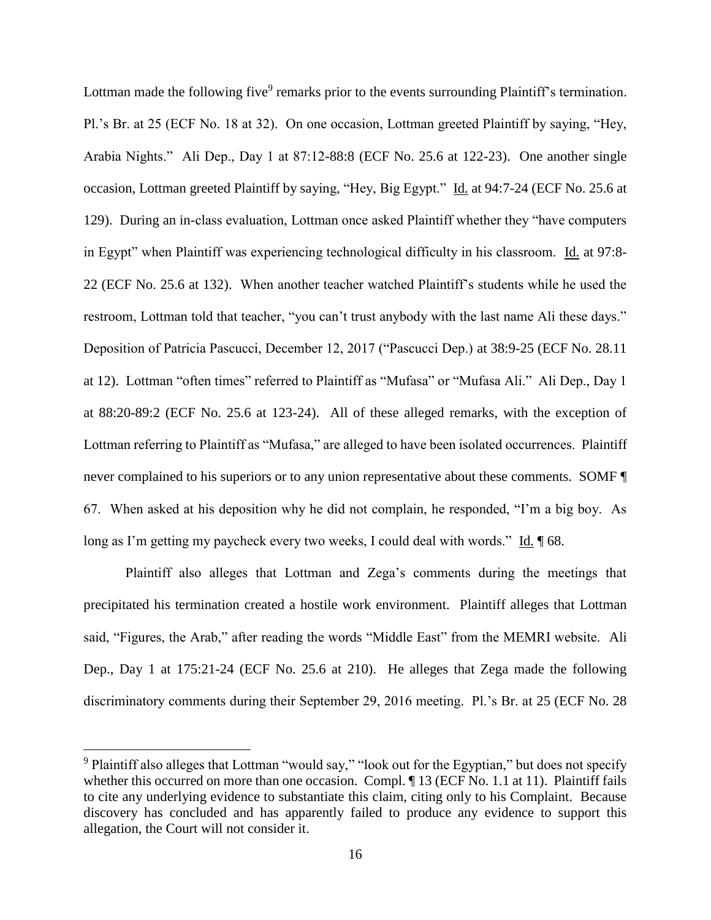Lottman made the following five<sup>9</sup> remarks prior to the events surrounding Plaintiff's termination. Pl.'s Br. at 25 (ECF No. 18 at 32). On one occasion, Lottman greeted Plaintiff by saying, "Hey, Arabia Nights." Ali Dep., Day 1 at 87:12-88:8 (ECF No. 25.6 at 122-23). One another single occasion, Lottman greeted Plaintiff by saying, "Hey, Big Egypt." Id. at 94:7-24 (ECF No. 25.6 at 129). During an in-class evaluation, Lottman once asked Plaintiff whether they "have computers in Egypt" when Plaintiff was experiencing technological difficulty in his classroom. Id. at 97:8-22 (ECF No. 25.6 at 132). When another teacher watched Plaintiff's students while he used the restroom, Lottman told that teacher, "you can't trust anybody with the last name Ali these days." Deposition of Patricia Pascucci, December 12, 2017 ("Pascucci Dep.) at 38:9-25 (ECF No. 28.11 at 12). Lottman "often times" referred to Plaintiff as "Mufasa" or "Mufasa Ali." Ali Dep., Day 1 at 88:20-89:2 (ECF No. 25.6 at 123-24). All of these alleged remarks, with the exception of Lottman referring to Plaintiff as "Mufasa," are alleged to have been isolated occurrences. Plaintiff never complained to his superiors or to any union representative about these comments. SOMF ¶ 67. When asked at his deposition why he did not complain, he responded, "I'm a big boy. As long as I'm getting my paycheck every two weeks, I could deal with words." Id.  $\sqrt{\phantom{a}}$  68.

Plaintiff also alleges that Lottman and Zega's comments during the meetings that precipitated his termination created a hostile work environment. Plaintiff alleges that Lottman said, "Figures, the Arab," after reading the words "Middle East" from the MEMRI website. Ali Dep., Day 1 at 175:21-24 (ECF No. 25.6 at 210). He alleges that Zega made the following discriminatory comments during their September 29, 2016 meeting. Pl.'s Br. at 25 (ECF No. 28

 $\overline{a}$ 

<sup>&</sup>lt;sup>9</sup> Plaintiff also alleges that Lottman "would say," "look out for the Egyptian," but does not specify whether this occurred on more than one occasion. Compl. ¶ 13 (ECF No. 1.1 at 11). Plaintiff fails to cite any underlying evidence to substantiate this claim, citing only to his Complaint. Because discovery has concluded and has apparently failed to produce any evidence to support this allegation, the Court will not consider it.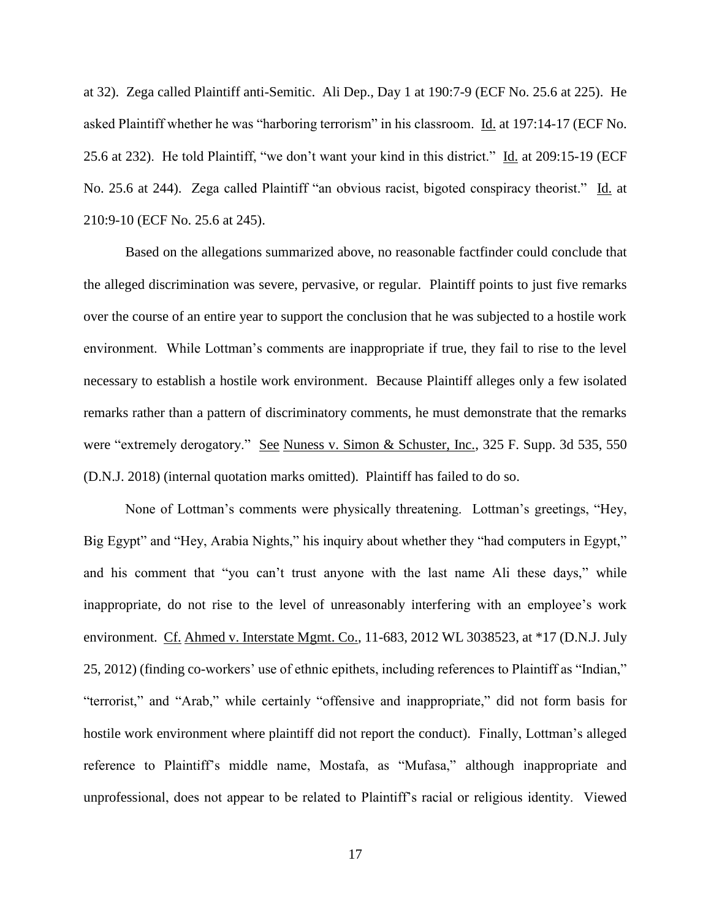at 32). Zega called Plaintiff anti-Semitic. Ali Dep., Day 1 at 190:7-9 (ECF No. 25.6 at 225). He asked Plaintiff whether he was "harboring terrorism" in his classroom. Id. at 197:14-17 (ECF No. 25.6 at 232). He told Plaintiff, "we don't want your kind in this district." Id. at 209:15-19 (ECF No. 25.6 at 244). Zega called Plaintiff "an obvious racist, bigoted conspiracy theorist." Id. at 210:9-10 (ECF No. 25.6 at 245).

Based on the allegations summarized above, no reasonable factfinder could conclude that the alleged discrimination was severe, pervasive, or regular. Plaintiff points to just five remarks over the course of an entire year to support the conclusion that he was subjected to a hostile work environment. While Lottman's comments are inappropriate if true, they fail to rise to the level necessary to establish a hostile work environment. Because Plaintiff alleges only a few isolated remarks rather than a pattern of discriminatory comments, he must demonstrate that the remarks were "extremely derogatory." See Nuness v. Simon & Schuster, Inc., 325 F. Supp. 3d 535, 550 (D.N.J. 2018) (internal quotation marks omitted). Plaintiff has failed to do so.

None of Lottman's comments were physically threatening. Lottman's greetings, "Hey, Big Egypt" and "Hey, Arabia Nights," his inquiry about whether they "had computers in Egypt," and his comment that "you can't trust anyone with the last name Ali these days," while inappropriate, do not rise to the level of unreasonably interfering with an employee's work environment. Cf. Ahmed v. Interstate Mgmt. Co., 11-683, 2012 WL 3038523, at \*17 (D.N.J. July 25, 2012) (finding co-workers' use of ethnic epithets, including references to Plaintiff as "Indian," "terrorist," and "Arab," while certainly "offensive and inappropriate," did not form basis for hostile work environment where plaintiff did not report the conduct). Finally, Lottman's alleged reference to Plaintiff's middle name, Mostafa, as "Mufasa," although inappropriate and unprofessional, does not appear to be related to Plaintiff's racial or religious identity. Viewed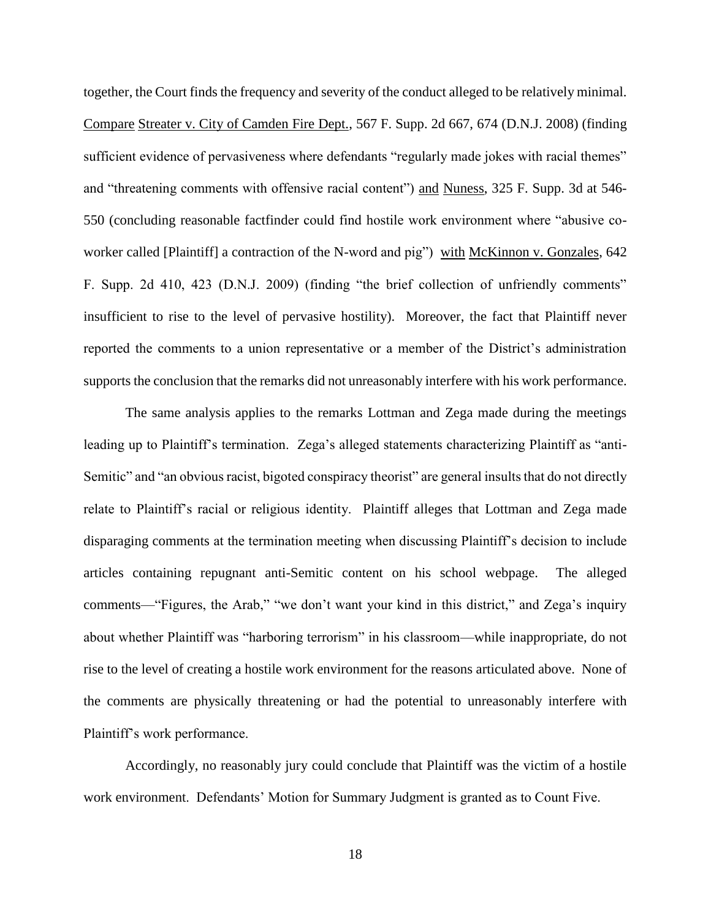together, the Court finds the frequency and severity of the conduct alleged to be relatively minimal. Compare Streater v. City of Camden Fire Dept., 567 F. Supp. 2d 667, 674 (D.N.J. 2008) (finding sufficient evidence of pervasiveness where defendants "regularly made jokes with racial themes" and "threatening comments with offensive racial content") and Nuness, 325 F. Supp. 3d at 546- 550 (concluding reasonable factfinder could find hostile work environment where "abusive coworker called [Plaintiff] a contraction of the N-word and pig") with McKinnon v. Gonzales, 642 F. Supp. 2d 410, 423 (D.N.J. 2009) (finding "the brief collection of unfriendly comments" insufficient to rise to the level of pervasive hostility). Moreover, the fact that Plaintiff never reported the comments to a union representative or a member of the District's administration supports the conclusion that the remarks did not unreasonably interfere with his work performance.

The same analysis applies to the remarks Lottman and Zega made during the meetings leading up to Plaintiff's termination. Zega's alleged statements characterizing Plaintiff as "anti-Semitic" and "an obvious racist, bigoted conspiracy theorist" are general insults that do not directly relate to Plaintiff's racial or religious identity. Plaintiff alleges that Lottman and Zega made disparaging comments at the termination meeting when discussing Plaintiff's decision to include articles containing repugnant anti-Semitic content on his school webpage. The alleged comments—"Figures, the Arab," "we don't want your kind in this district," and Zega's inquiry about whether Plaintiff was "harboring terrorism" in his classroom—while inappropriate, do not rise to the level of creating a hostile work environment for the reasons articulated above. None of the comments are physically threatening or had the potential to unreasonably interfere with Plaintiff's work performance.

Accordingly, no reasonably jury could conclude that Plaintiff was the victim of a hostile work environment. Defendants' Motion for Summary Judgment is granted as to Count Five.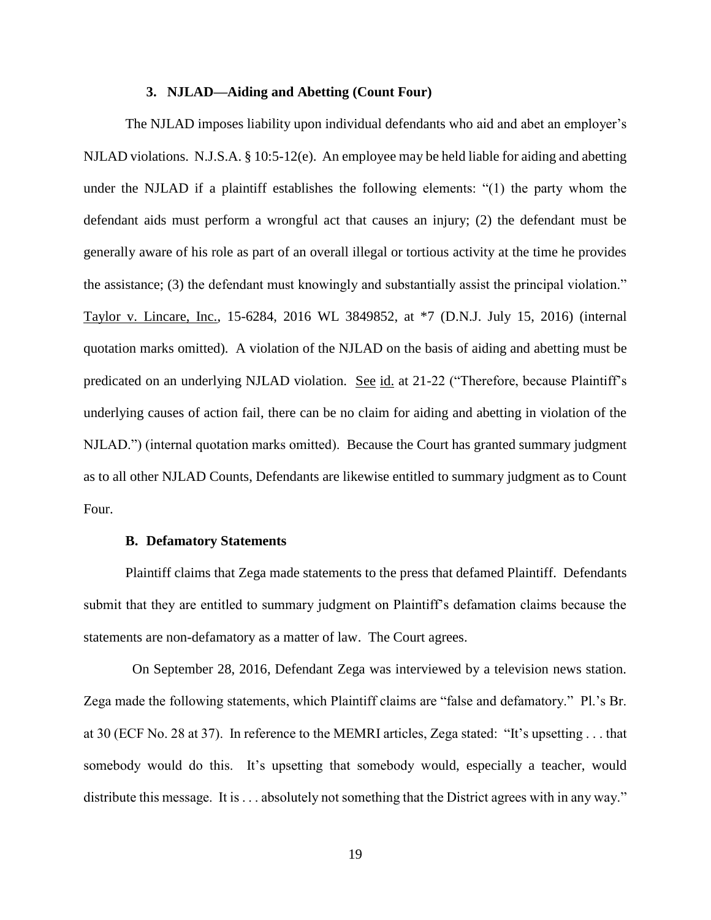#### **3. NJLAD—Aiding and Abetting (Count Four)**

The NJLAD imposes liability upon individual defendants who aid and abet an employer's NJLAD violations. N.J.S.A. § 10:5-12(e). An employee may be held liable for aiding and abetting under the NJLAD if a plaintiff establishes the following elements: "(1) the party whom the defendant aids must perform a wrongful act that causes an injury; (2) the defendant must be generally aware of his role as part of an overall illegal or tortious activity at the time he provides the assistance; (3) the defendant must knowingly and substantially assist the principal violation." Taylor v. Lincare, Inc., 15-6284, 2016 WL 3849852, at \*7 (D.N.J. July 15, 2016) (internal quotation marks omitted). A violation of the NJLAD on the basis of aiding and abetting must be predicated on an underlying NJLAD violation. See id. at 21-22 ("Therefore, because Plaintiff's underlying causes of action fail, there can be no claim for aiding and abetting in violation of the NJLAD.") (internal quotation marks omitted). Because the Court has granted summary judgment as to all other NJLAD Counts, Defendants are likewise entitled to summary judgment as to Count Four.

#### **B. Defamatory Statements**

Plaintiff claims that Zega made statements to the press that defamed Plaintiff. Defendants submit that they are entitled to summary judgment on Plaintiff's defamation claims because the statements are non-defamatory as a matter of law. The Court agrees.

 On September 28, 2016, Defendant Zega was interviewed by a television news station. Zega made the following statements, which Plaintiff claims are "false and defamatory." Pl.'s Br. at 30 (ECF No. 28 at 37). In reference to the MEMRI articles, Zega stated: "It's upsetting . . . that somebody would do this. It's upsetting that somebody would, especially a teacher, would distribute this message. It is . . . absolutely not something that the District agrees with in any way."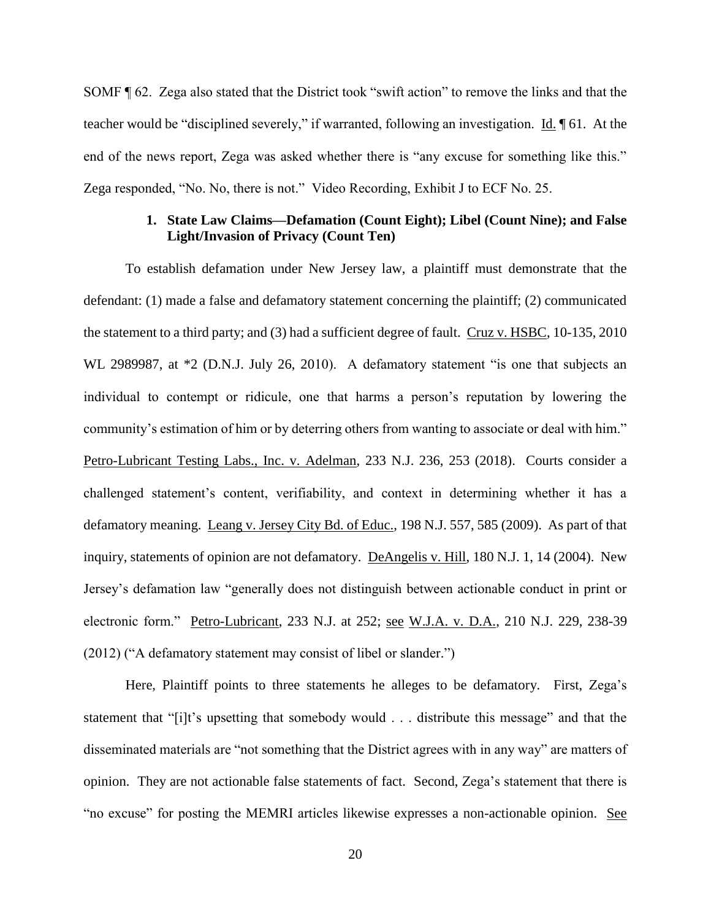SOMF ¶ 62. Zega also stated that the District took "swift action" to remove the links and that the teacher would be "disciplined severely," if warranted, following an investigation. Id. ¶ 61. At the end of the news report, Zega was asked whether there is "any excuse for something like this." Zega responded, "No. No, there is not." Video Recording, Exhibit J to ECF No. 25.

# **1. State Law Claims—Defamation (Count Eight); Libel (Count Nine); and False Light/Invasion of Privacy (Count Ten)**

To establish defamation under New Jersey law, a plaintiff must demonstrate that the defendant: (1) made a false and defamatory statement concerning the plaintiff; (2) communicated the statement to a third party; and (3) had a sufficient degree of fault. Cruz v. HSBC, 10-135, 2010 WL 2989987, at  $*2$  (D.N.J. July 26, 2010). A defamatory statement "is one that subjects an individual to contempt or ridicule, one that harms a person's reputation by lowering the community's estimation of him or by deterring others from wanting to associate or deal with him." Petro-Lubricant Testing Labs., Inc. v. Adelman, 233 N.J. 236, 253 (2018). Courts consider a challenged statement's content, verifiability, and context in determining whether it has a defamatory meaning. Leang v. Jersey City Bd. of Educ., 198 N.J. 557, 585 (2009). As part of that inquiry, statements of opinion are not defamatory. DeAngelis v. Hill, 180 N.J. 1, 14 (2004). New Jersey's defamation law "generally does not distinguish between actionable conduct in print or electronic form." Petro-Lubricant, 233 N.J. at 252; see W.J.A. v. D.A., 210 N.J. 229, 238-39 (2012) ("A defamatory statement may consist of libel or slander.")

Here, Plaintiff points to three statements he alleges to be defamatory. First, Zega's statement that "[i]t's upsetting that somebody would . . . distribute this message" and that the disseminated materials are "not something that the District agrees with in any way" are matters of opinion. They are not actionable false statements of fact. Second, Zega's statement that there is "no excuse" for posting the MEMRI articles likewise expresses a non-actionable opinion. See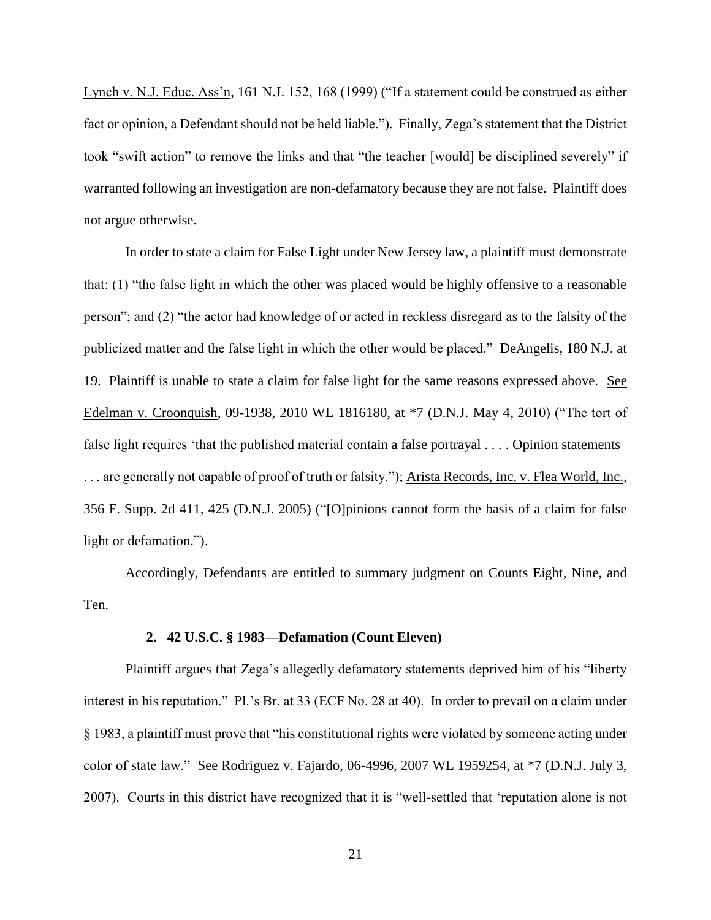Lynch v. N.J. Educ. Ass'n, 161 N.J. 152, 168 (1999) ("If a statement could be construed as either fact or opinion, a Defendant should not be held liable."). Finally, Zega's statement that the District took "swift action" to remove the links and that "the teacher [would] be disciplined severely" if warranted following an investigation are non-defamatory because they are not false. Plaintiff does not argue otherwise.

In order to state a claim for False Light under New Jersey law, a plaintiff must demonstrate that: (1) "the false light in which the other was placed would be highly offensive to a reasonable person"; and (2) "the actor had knowledge of or acted in reckless disregard as to the falsity of the publicized matter and the false light in which the other would be placed." DeAngelis, 180 N.J. at 19. Plaintiff is unable to state a claim for false light for the same reasons expressed above. See Edelman v. Croonquish, 09-1938, 2010 WL 1816180, at \*7 (D.N.J. May 4, 2010) ("The tort of false light requires 'that the published material contain a false portrayal . . . . Opinion statements . . . are generally not capable of proof of truth or falsity."); Arista Records, Inc. v. Flea World, Inc., 356 F. Supp. 2d 411, 425 (D.N.J. 2005) ("[O]pinions cannot form the basis of a claim for false light or defamation.").

Accordingly, Defendants are entitled to summary judgment on Counts Eight, Nine, and Ten.

# **2. 42 U.S.C. § 1983—Defamation (Count Eleven)**

Plaintiff argues that Zega's allegedly defamatory statements deprived him of his "liberty interest in his reputation." Pl.'s Br. at 33 (ECF No. 28 at 40). In order to prevail on a claim under § 1983, a plaintiff must prove that "his constitutional rights were violated by someone acting under color of state law." See Rodriguez v. Fajardo, 06-4996, 2007 WL 1959254, at  $*7$  (D.N.J. July 3, 2007). Courts in this district have recognized that it is "well-settled that 'reputation alone is not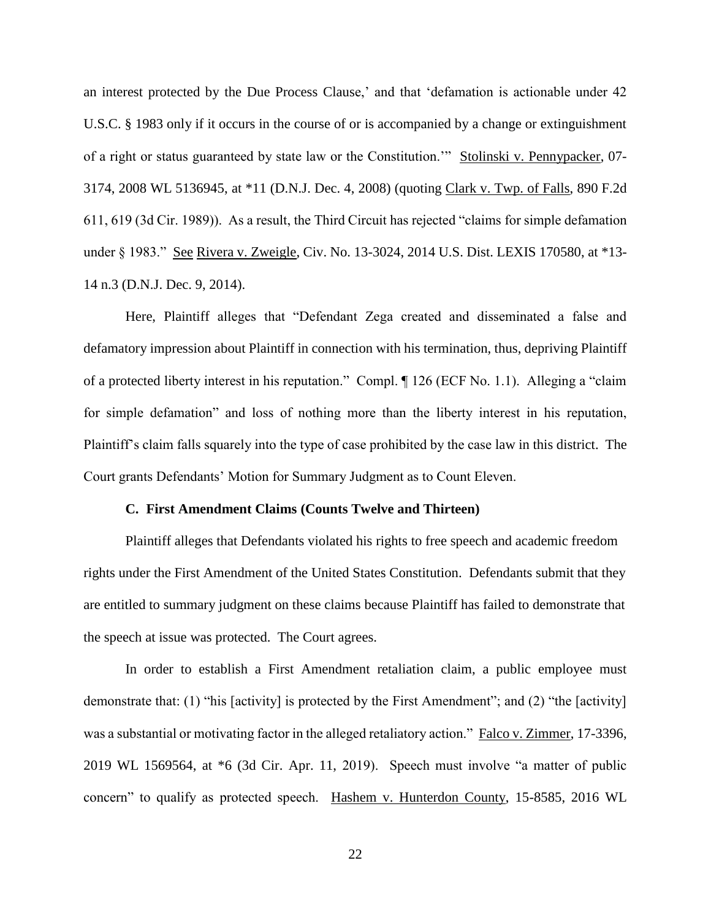an interest protected by the Due Process Clause,' and that 'defamation is actionable under 42 U.S.C. § 1983 only if it occurs in the course of or is accompanied by a change or extinguishment of a right or status guaranteed by state law or the Constitution.'" Stolinski v. Pennypacker, 07- 3174, 2008 WL 5136945, at \*11 (D.N.J. Dec. 4, 2008) (quoting Clark v. Twp. of Falls, 890 F.2d 611, 619 (3d Cir. 1989)). As a result, the Third Circuit has rejected "claims for simple defamation under § 1983." See Rivera v. Zweigle, Civ. No. 13-3024, 2014 U.S. Dist. LEXIS 170580, at \*13-14 n.3 (D.N.J. Dec. 9, 2014).

Here, Plaintiff alleges that "Defendant Zega created and disseminated a false and defamatory impression about Plaintiff in connection with his termination, thus, depriving Plaintiff of a protected liberty interest in his reputation." Compl. ¶ 126 (ECF No. 1.1). Alleging a "claim for simple defamation" and loss of nothing more than the liberty interest in his reputation, Plaintiff's claim falls squarely into the type of case prohibited by the case law in this district. The Court grants Defendants' Motion for Summary Judgment as to Count Eleven.

#### **C. First Amendment Claims (Counts Twelve and Thirteen)**

Plaintiff alleges that Defendants violated his rights to free speech and academic freedom rights under the First Amendment of the United States Constitution. Defendants submit that they are entitled to summary judgment on these claims because Plaintiff has failed to demonstrate that the speech at issue was protected. The Court agrees.

In order to establish a First Amendment retaliation claim, a public employee must demonstrate that: (1) "his [activity] is protected by the First Amendment"; and (2) "the [activity] was a substantial or motivating factor in the alleged retaliatory action." Falco v. Zimmer, 17-3396, 2019 WL 1569564, at \*6 (3d Cir. Apr. 11, 2019). Speech must involve "a matter of public concern" to qualify as protected speech. Hashem v. Hunterdon County, 15-8585, 2016 WL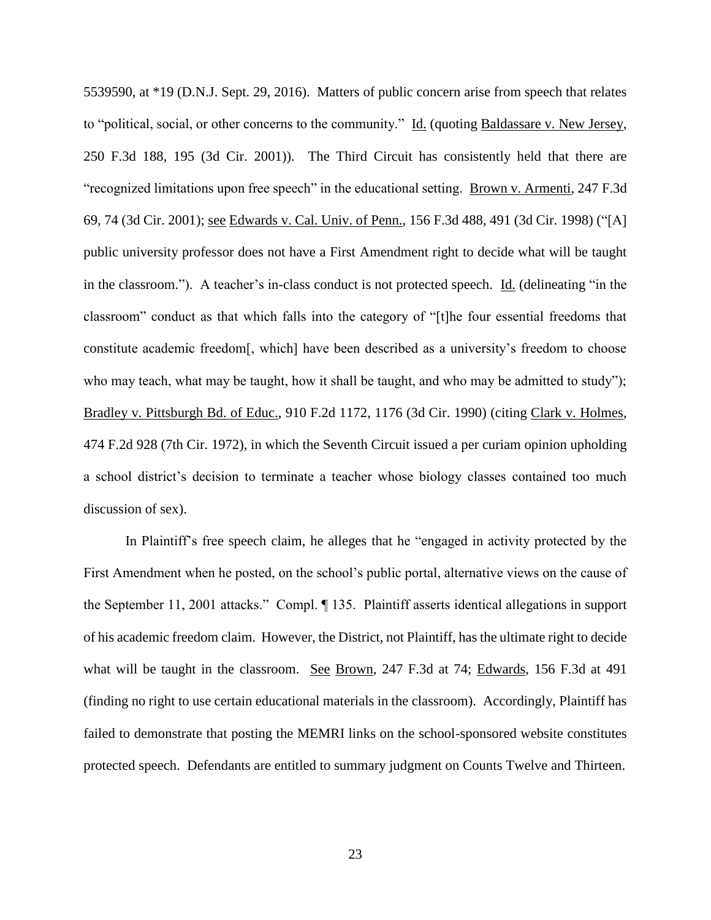5539590, at \*19 (D.N.J. Sept. 29, 2016). Matters of public concern arise from speech that relates to "political, social, or other concerns to the community." Id. (quoting Baldassare v. New Jersey, 250 F.3d 188, 195 (3d Cir. 2001)). The Third Circuit has consistently held that there are "recognized limitations upon free speech" in the educational setting. Brown v. Armenti, 247 F.3d 69, 74 (3d Cir. 2001); see Edwards v. Cal. Univ. of Penn., 156 F.3d 488, 491 (3d Cir. 1998) ("[A] public university professor does not have a First Amendment right to decide what will be taught in the classroom."). A teacher's in-class conduct is not protected speech. Id. (delineating "in the classroom" conduct as that which falls into the category of "[t]he four essential freedoms that constitute academic freedom[, which] have been described as a university's freedom to choose who may teach, what may be taught, how it shall be taught, and who may be admitted to study"); Bradley v. Pittsburgh Bd. of Educ., 910 F.2d 1172, 1176 (3d Cir. 1990) (citing Clark v. Holmes, 474 F.2d 928 (7th Cir. 1972), in which the Seventh Circuit issued a per curiam opinion upholding a school district's decision to terminate a teacher whose biology classes contained too much discussion of sex).

In Plaintiff's free speech claim, he alleges that he "engaged in activity protected by the First Amendment when he posted, on the school's public portal, alternative views on the cause of the September 11, 2001 attacks." Compl. ¶ 135. Plaintiff asserts identical allegations in support of his academic freedom claim. However, the District, not Plaintiff, has the ultimate right to decide what will be taught in the classroom. See Brown, 247 F.3d at 74; Edwards, 156 F.3d at 491 (finding no right to use certain educational materials in the classroom). Accordingly, Plaintiff has failed to demonstrate that posting the MEMRI links on the school-sponsored website constitutes protected speech. Defendants are entitled to summary judgment on Counts Twelve and Thirteen.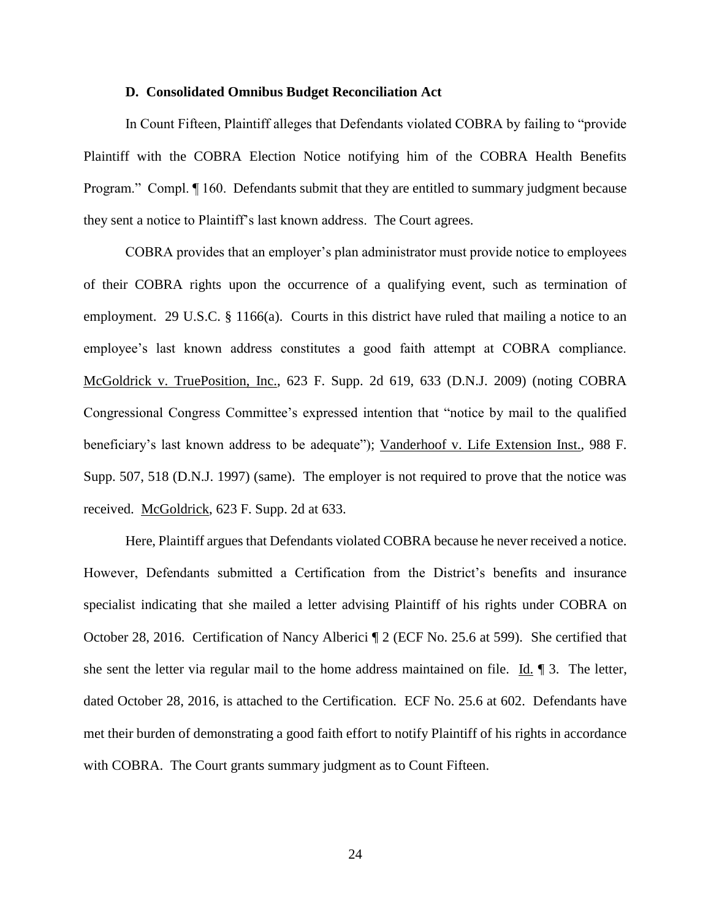#### **D. Consolidated Omnibus Budget Reconciliation Act**

In Count Fifteen, Plaintiff alleges that Defendants violated COBRA by failing to "provide Plaintiff with the COBRA Election Notice notifying him of the COBRA Health Benefits Program." Compl.  $\P$  160. Defendants submit that they are entitled to summary judgment because they sent a notice to Plaintiff's last known address. The Court agrees.

COBRA provides that an employer's plan administrator must provide notice to employees of their COBRA rights upon the occurrence of a qualifying event, such as termination of employment. 29 U.S.C. § 1166(a). Courts in this district have ruled that mailing a notice to an employee's last known address constitutes a good faith attempt at COBRA compliance. McGoldrick v. TruePosition, Inc., 623 F. Supp. 2d 619, 633 (D.N.J. 2009) (noting COBRA Congressional Congress Committee's expressed intention that "notice by mail to the qualified beneficiary's last known address to be adequate"); Vanderhoof v. Life Extension Inst., 988 F. Supp. 507, 518 (D.N.J. 1997) (same). The employer is not required to prove that the notice was received. McGoldrick, 623 F. Supp. 2d at 633.

Here, Plaintiff argues that Defendants violated COBRA because he never received a notice. However, Defendants submitted a Certification from the District's benefits and insurance specialist indicating that she mailed a letter advising Plaintiff of his rights under COBRA on October 28, 2016. Certification of Nancy Alberici ¶ 2 (ECF No. 25.6 at 599). She certified that she sent the letter via regular mail to the home address maintained on file. Id. ¶ 3. The letter, dated October 28, 2016, is attached to the Certification. ECF No. 25.6 at 602. Defendants have met their burden of demonstrating a good faith effort to notify Plaintiff of his rights in accordance with COBRA. The Court grants summary judgment as to Count Fifteen.